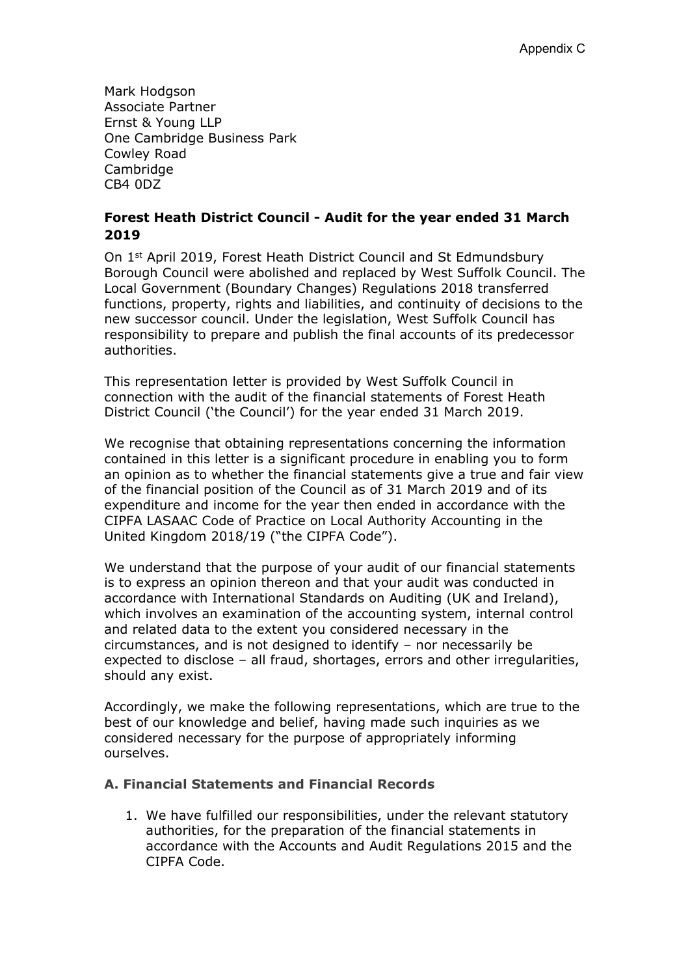Mark Hodgson Associate Partner Ernst & Young LLP One Cambridge Business Park Cowley Road Cambridge CB4 0DZ

## **Forest Heath District Council - Audit for the year ended 31 March 2019**

On 1st April 2019, Forest Heath District Council and St Edmundsbury Borough Council were abolished and replaced by West Suffolk Council. The Local Government (Boundary Changes) Regulations 2018 transferred functions, property, rights and liabilities, and continuity of decisions to the new successor council. Under the legislation, West Suffolk Council has responsibility to prepare and publish the final accounts of its predecessor authorities.

This representation letter is provided by West Suffolk Council in connection with the audit of the financial statements of Forest Heath District Council ('the Council') for the year ended 31 March 2019.

We recognise that obtaining representations concerning the information contained in this letter is a significant procedure in enabling you to form an opinion as to whether the financial statements give a true and fair view of the financial position of the Council as of 31 March 2019 and of its expenditure and income for the year then ended in accordance with the CIPFA LASAAC Code of Practice on Local Authority Accounting in the United Kingdom 2018/19 ("the CIPFA Code").

We understand that the purpose of your audit of our financial statements is to express an opinion thereon and that your audit was conducted in accordance with International Standards on Auditing (UK and Ireland), which involves an examination of the accounting system, internal control and related data to the extent you considered necessary in the circumstances, and is not designed to identify – nor necessarily be expected to disclose – all fraud, shortages, errors and other irregularities, should any exist.

Accordingly, we make the following representations, which are true to the best of our knowledge and belief, having made such inquiries as we considered necessary for the purpose of appropriately informing ourselves.

## **A. Financial Statements and Financial Records**

1. We have fulfilled our responsibilities, under the relevant statutory authorities, for the preparation of the financial statements in accordance with the Accounts and Audit Regulations 2015 and the CIPFA Code.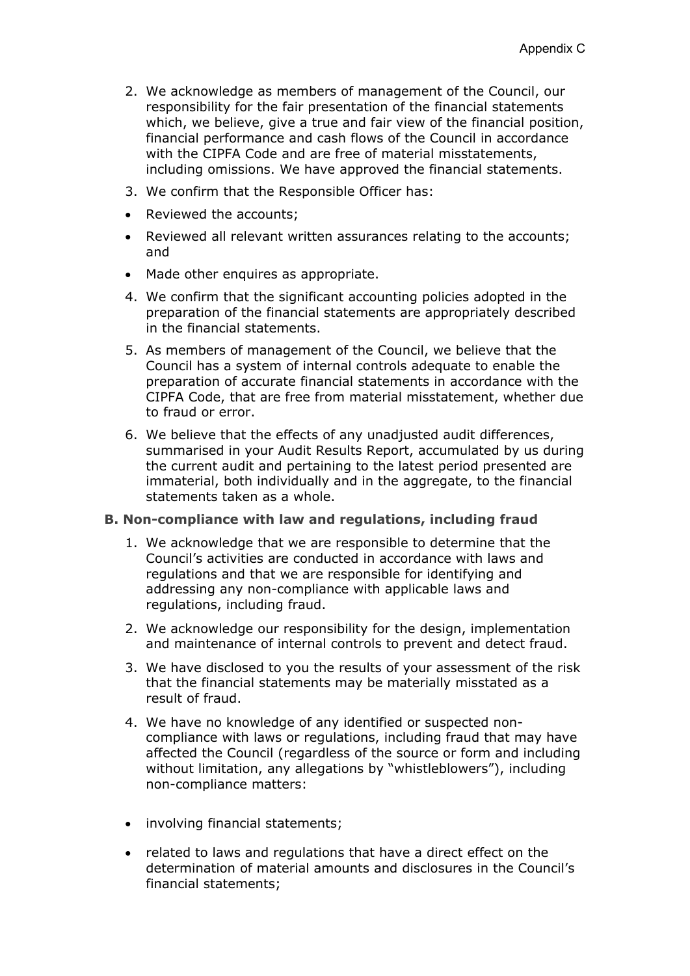- 2. We acknowledge as members of management of the Council, our responsibility for the fair presentation of the financial statements which, we believe, give a true and fair view of the financial position, financial performance and cash flows of the Council in accordance with the CIPFA Code and are free of material misstatements, including omissions. We have approved the financial statements.
- 3. We confirm that the Responsible Officer has:
- Reviewed the accounts;
- Reviewed all relevant written assurances relating to the accounts; and
- Made other enquires as appropriate.
- 4. We confirm that the significant accounting policies adopted in the preparation of the financial statements are appropriately described in the financial statements.
- 5. As members of management of the Council, we believe that the Council has a system of internal controls adequate to enable the preparation of accurate financial statements in accordance with the CIPFA Code, that are free from material misstatement, whether due to fraud or error.
- 6. We believe that the effects of any unadjusted audit differences, summarised in your Audit Results Report, accumulated by us during the current audit and pertaining to the latest period presented are immaterial, both individually and in the aggregate, to the financial statements taken as a whole.

#### **B. Non-compliance with law and regulations, including fraud**

- 1. We acknowledge that we are responsible to determine that the Council's activities are conducted in accordance with laws and regulations and that we are responsible for identifying and addressing any non-compliance with applicable laws and regulations, including fraud.
- 2. We acknowledge our responsibility for the design, implementation and maintenance of internal controls to prevent and detect fraud.
- 3. We have disclosed to you the results of your assessment of the risk that the financial statements may be materially misstated as a result of fraud.
- 4. We have no knowledge of any identified or suspected noncompliance with laws or regulations, including fraud that may have affected the Council (regardless of the source or form and including without limitation, any allegations by "whistleblowers"), including non-compliance matters:
- involving financial statements;
- related to laws and regulations that have a direct effect on the determination of material amounts and disclosures in the Council's financial statements;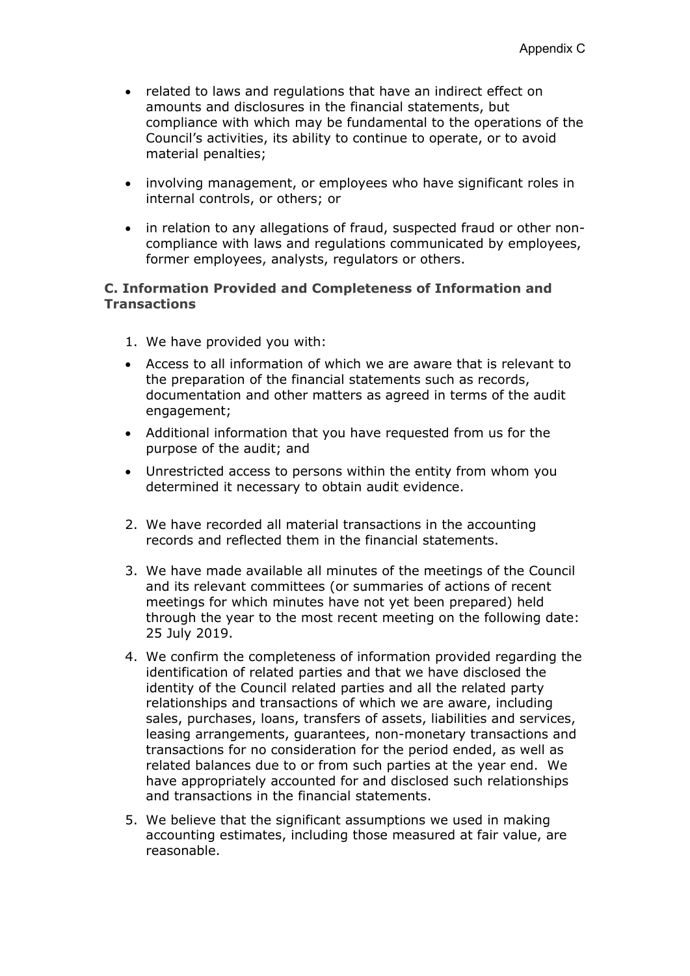- related to laws and regulations that have an indirect effect on amounts and disclosures in the financial statements, but compliance with which may be fundamental to the operations of the Council's activities, its ability to continue to operate, or to avoid material penalties;
- involving management, or employees who have significant roles in internal controls, or others; or
- in relation to any allegations of fraud, suspected fraud or other noncompliance with laws and regulations communicated by employees, former employees, analysts, regulators or others.

### **C. Information Provided and Completeness of Information and Transactions**

- 1. We have provided you with:
- Access to all information of which we are aware that is relevant to the preparation of the financial statements such as records, documentation and other matters as agreed in terms of the audit engagement;
- Additional information that you have requested from us for the purpose of the audit; and
- Unrestricted access to persons within the entity from whom you determined it necessary to obtain audit evidence.
- 2. We have recorded all material transactions in the accounting records and reflected them in the financial statements.
- 3. We have made available all minutes of the meetings of the Council and its relevant committees (or summaries of actions of recent meetings for which minutes have not yet been prepared) held through the year to the most recent meeting on the following date: 25 July 2019.
- 4. We confirm the completeness of information provided regarding the identification of related parties and that we have disclosed the identity of the Council related parties and all the related party relationships and transactions of which we are aware, including sales, purchases, loans, transfers of assets, liabilities and services, leasing arrangements, guarantees, non-monetary transactions and transactions for no consideration for the period ended, as well as related balances due to or from such parties at the year end. We have appropriately accounted for and disclosed such relationships and transactions in the financial statements.
- 5. We believe that the significant assumptions we used in making accounting estimates, including those measured at fair value, are reasonable.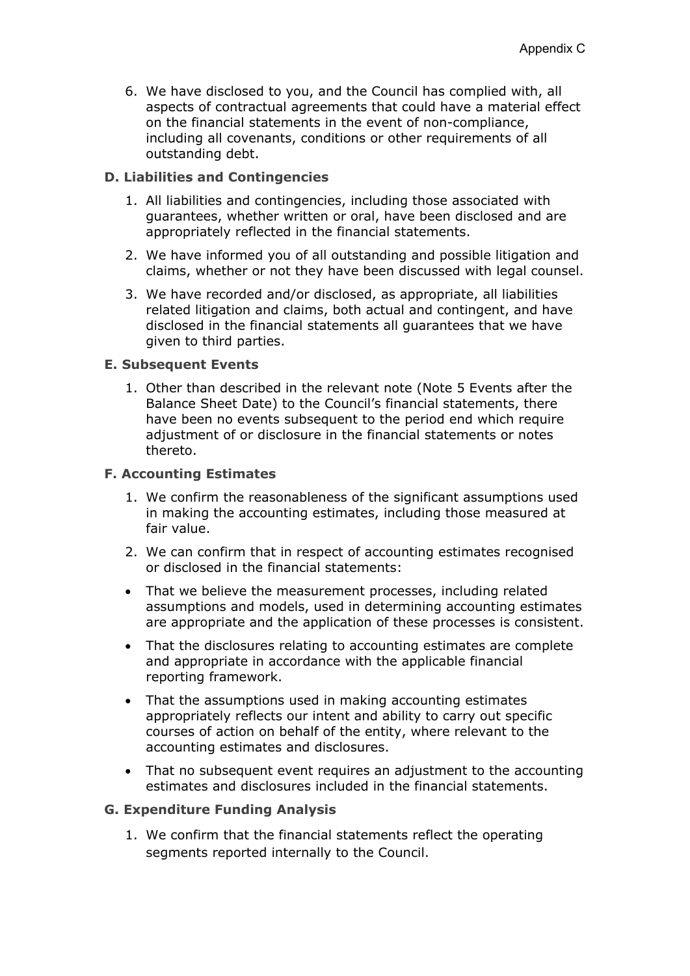6. We have disclosed to you, and the Council has complied with, all aspects of contractual agreements that could have a material effect on the financial statements in the event of non-compliance, including all covenants, conditions or other requirements of all outstanding debt.

## **D. Liabilities and Contingencies**

- 1. All liabilities and contingencies, including those associated with guarantees, whether written or oral, have been disclosed and are appropriately reflected in the financial statements.
- 2. We have informed you of all outstanding and possible litigation and claims, whether or not they have been discussed with legal counsel.
- 3. We have recorded and/or disclosed, as appropriate, all liabilities related litigation and claims, both actual and contingent, and have disclosed in the financial statements all guarantees that we have given to third parties.

#### **E. Subsequent Events**

1. Other than described in the relevant note (Note 5 Events after the Balance Sheet Date) to the Council's financial statements, there have been no events subsequent to the period end which require adjustment of or disclosure in the financial statements or notes thereto.

#### **F. Accounting Estimates**

- 1. We confirm the reasonableness of the significant assumptions used in making the accounting estimates, including those measured at fair value.
- 2. We can confirm that in respect of accounting estimates recognised or disclosed in the financial statements:
- That we believe the measurement processes, including related assumptions and models, used in determining accounting estimates are appropriate and the application of these processes is consistent.
- That the disclosures relating to accounting estimates are complete and appropriate in accordance with the applicable financial reporting framework.
- That the assumptions used in making accounting estimates appropriately reflects our intent and ability to carry out specific courses of action on behalf of the entity, where relevant to the accounting estimates and disclosures.
- That no subsequent event requires an adjustment to the accounting estimates and disclosures included in the financial statements.

#### **G. Expenditure Funding Analysis**

1. We confirm that the financial statements reflect the operating segments reported internally to the Council.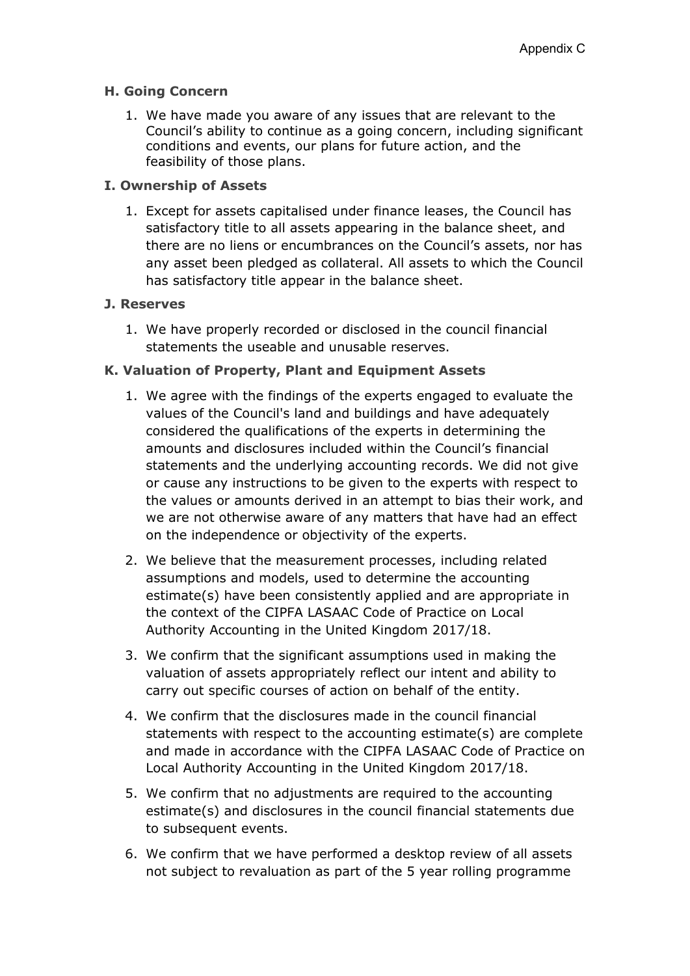## **H. Going Concern**

1. We have made you aware of any issues that are relevant to the Council's ability to continue as a going concern, including significant conditions and events, our plans for future action, and the feasibility of those plans.

# **I. Ownership of Assets**

1. Except for assets capitalised under finance leases, the Council has satisfactory title to all assets appearing in the balance sheet, and there are no liens or encumbrances on the Council's assets, nor has any asset been pledged as collateral. All assets to which the Council has satisfactory title appear in the balance sheet.

## **J. Reserves**

1. We have properly recorded or disclosed in the council financial statements the useable and unusable reserves.

# **K. Valuation of Property, Plant and Equipment Assets**

- 1. We agree with the findings of the experts engaged to evaluate the values of the Council's land and buildings and have adequately considered the qualifications of the experts in determining the amounts and disclosures included within the Council's financial statements and the underlying accounting records. We did not give or cause any instructions to be given to the experts with respect to the values or amounts derived in an attempt to bias their work, and we are not otherwise aware of any matters that have had an effect on the independence or objectivity of the experts.
- 2. We believe that the measurement processes, including related assumptions and models, used to determine the accounting estimate(s) have been consistently applied and are appropriate in the context of the CIPFA LASAAC Code of Practice on Local Authority Accounting in the United Kingdom 2017/18.
- 3. We confirm that the significant assumptions used in making the valuation of assets appropriately reflect our intent and ability to carry out specific courses of action on behalf of the entity.
- 4. We confirm that the disclosures made in the council financial statements with respect to the accounting estimate(s) are complete and made in accordance with the CIPFA LASAAC Code of Practice on Local Authority Accounting in the United Kingdom 2017/18.
- 5. We confirm that no adjustments are required to the accounting estimate(s) and disclosures in the council financial statements due to subsequent events.
- 6. We confirm that we have performed a desktop review of all assets not subject to revaluation as part of the 5 year rolling programme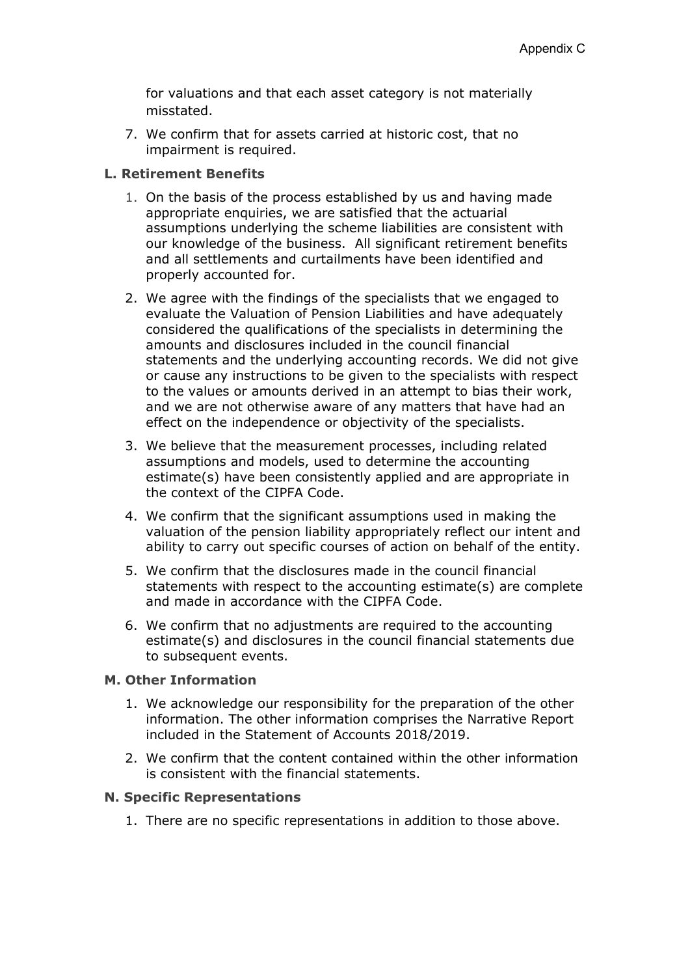for valuations and that each asset category is not materially misstated.

7. We confirm that for assets carried at historic cost, that no impairment is required.

#### **L. Retirement Benefits**

- 1. On the basis of the process established by us and having made appropriate enquiries, we are satisfied that the actuarial assumptions underlying the scheme liabilities are consistent with our knowledge of the business. All significant retirement benefits and all settlements and curtailments have been identified and properly accounted for.
- 2. We agree with the findings of the specialists that we engaged to evaluate the Valuation of Pension Liabilities and have adequately considered the qualifications of the specialists in determining the amounts and disclosures included in the council financial statements and the underlying accounting records. We did not give or cause any instructions to be given to the specialists with respect to the values or amounts derived in an attempt to bias their work, and we are not otherwise aware of any matters that have had an effect on the independence or objectivity of the specialists.
- 3. We believe that the measurement processes, including related assumptions and models, used to determine the accounting estimate(s) have been consistently applied and are appropriate in the context of the CIPFA Code.
- 4. We confirm that the significant assumptions used in making the valuation of the pension liability appropriately reflect our intent and ability to carry out specific courses of action on behalf of the entity.
- 5. We confirm that the disclosures made in the council financial statements with respect to the accounting estimate(s) are complete and made in accordance with the CIPFA Code.
- 6. We confirm that no adjustments are required to the accounting estimate(s) and disclosures in the council financial statements due to subsequent events.

## **M. Other Information**

- 1. We acknowledge our responsibility for the preparation of the other information. The other information comprises the Narrative Report included in the Statement of Accounts 2018/2019.
- 2. We confirm that the content contained within the other information is consistent with the financial statements.

#### **N. Specific Representations**

1. There are no specific representations in addition to those above.